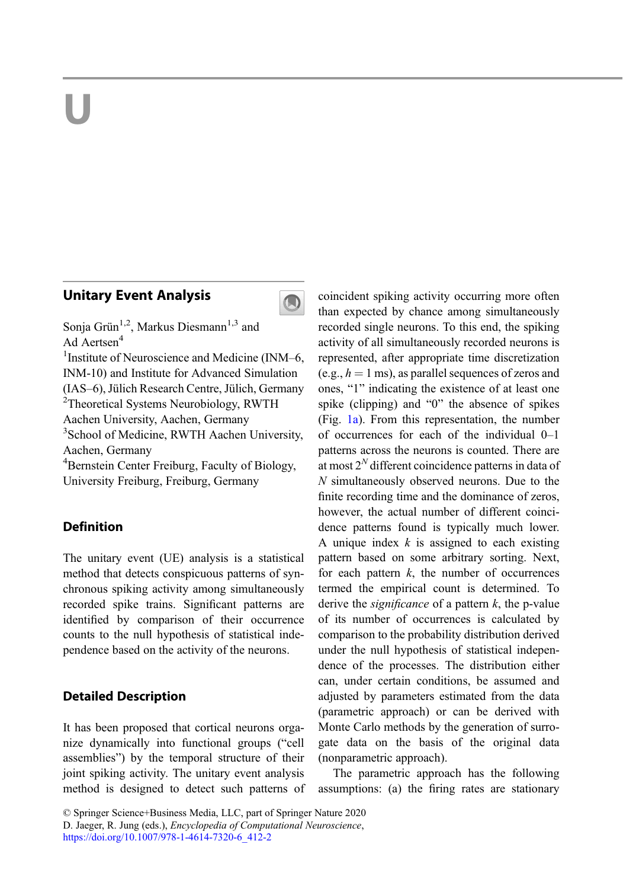# U

# Unitary Event Analysis



Sonja Grün<sup>1,2</sup>, Markus Diesmann<sup>1,3</sup> and Ad Aertsen<sup>4</sup>

<sup>1</sup> Institute of Neuroscience and Medicine (INM-6, INM-10) and Institute for Advanced Simulation (IAS–6), Jülich Research Centre, Jülich, Germany <sup>2</sup> <sup>2</sup>Theoretical Systems Neurobiology, RWTH Aachen University, Aachen, Germany <sup>3</sup> School of Medicine, RWTH Aachen University,

Aachen, Germany

4 Bernstein Center Freiburg, Faculty of Biology, University Freiburg, Freiburg, Germany

# **Definition**

The unitary event (UE) analysis is a statistical method that detects conspicuous patterns of synchronous spiking activity among simultaneously recorded spike trains. Significant patterns are identified by comparison of their occurrence counts to the null hypothesis of statistical independence based on the activity of the neurons.

## Detailed Description

It has been proposed that cortical neurons organize dynamically into functional groups ("cell assemblies") by the temporal structure of their joint spiking activity. The unitary event analysis method is designed to detect such patterns of coincident spiking activity occurring more often than expected by chance among simultaneously recorded single neurons. To this end, the spiking activity of all simultaneously recorded neurons is represented, after appropriate time discretization (e.g.,  $h = 1$  ms), as parallel sequences of zeros and ones, "1" indicating the existence of at least one spike (clipping) and "0" the absence of spikes (Fig. [1a](#page-1-0)). From this representation, the number of occurrences for each of the individual 0–1 patterns across the neurons is counted. There are at most  $2^N$  different coincidence patterns in data of N simultaneously observed neurons. Due to the finite recording time and the dominance of zeros, however, the actual number of different coincidence patterns found is typically much lower. A unique index  $k$  is assigned to each existing pattern based on some arbitrary sorting. Next, for each pattern  $k$ , the number of occurrences termed the empirical count is determined. To derive the *significance* of a pattern  $k$ , the p-value of its number of occurrences is calculated by comparison to the probability distribution derived under the null hypothesis of statistical independence of the processes. The distribution either can, under certain conditions, be assumed and adjusted by parameters estimated from the data (parametric approach) or can be derived with Monte Carlo methods by the generation of surrogate data on the basis of the original data (nonparametric approach).

The parametric approach has the following assumptions: (a) the firing rates are stationary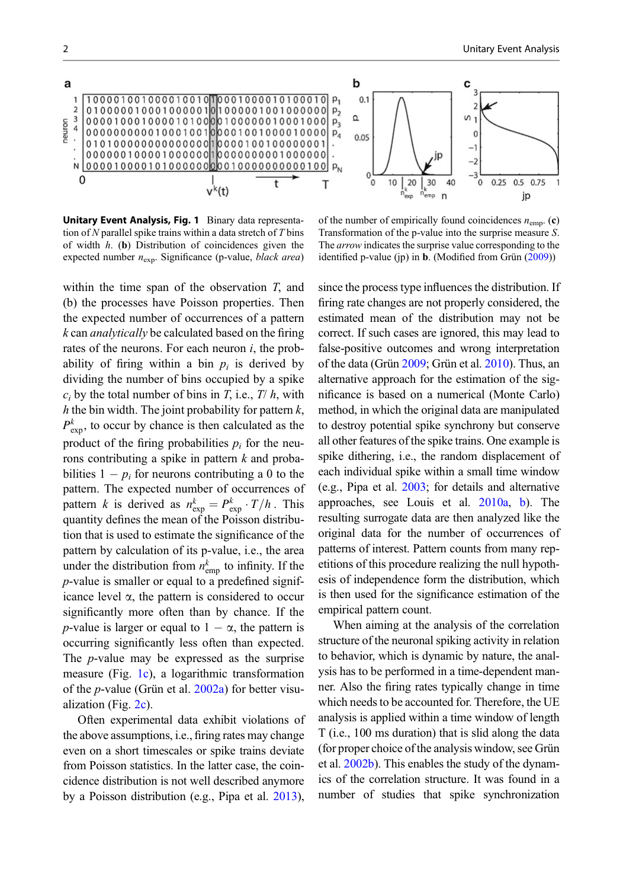<span id="page-1-0"></span>

Unitary Event Analysis, Fig. 1 Binary data representation of N parallel spike trains within a data stretch of  $T \text{ bins}$ of width  $h$ . (b) Distribution of coincidences given the expected number  $n_{exp}$ . Significance (p-value, *black area*)

within the time span of the observation T, and (b) the processes have Poisson properties. Then the expected number of occurrences of a pattern k can analytically be calculated based on the firing rates of the neurons. For each neuron  $i$ , the probability of firing within a bin  $p_i$  is derived by dividing the number of bins occupied by a spike  $c_i$  by the total number of bins in T, i.e., T/h, with h the bin width. The joint probability for pattern  $k$ ,  $P_{\text{exp}}^k$ , to occur by chance is then calculated as the product of the firing probabilities  $p_i$  for the neurons contributing a spike in pattern  $k$  and probabilities  $1 - p_i$  for neurons contributing a 0 to the pattern. The expected number of occurrences of pattern *k* is derived as  $n_{\exp}^k = P_{\exp}^k \cdot T/h$ . This quantity defines the mean of the Poisson distribution that is used to estimate the significance of the pattern by calculation of its p-value, i.e., the area under the distribution from  $n_{emp}^k$  to infinity. If the p-value is smaller or equal to a predefined significance level  $\alpha$ , the pattern is considered to occur significantly more often than by chance. If the *p*-value is larger or equal to  $1 - \alpha$ , the pattern is occurring significantly less often than expected. The p-value may be expressed as the surprise measure (Fig. 1c), a logarithmic transformation of the p-value (Grün et al. [2002a\)](#page-3-0) for better visualization (Fig. [2c](#page-2-0)).

Often experimental data exhibit violations of the above assumptions, i.e., firing rates may change even on a short timescales or spike trains deviate from Poisson statistics. In the latter case, the coincidence distribution is not well described anymore by a Poisson distribution (e.g., Pipa et al. [2013](#page-3-0)),

of the number of empirically found coincidences  $n_{\text{emp}}$ . (c) Transformation of the p-value into the surprise measure S. The *arrow* indicates the surprise value corresponding to the identified p-value (jp) in **b**. (Modified from Grün ([2009\)](#page-3-0))

since the process type influences the distribution. If firing rate changes are not properly considered, the estimated mean of the distribution may not be correct. If such cases are ignored, this may lead to false-positive outcomes and wrong interpretation of the data (Grün [2009](#page-3-0); Grün et al. [2010](#page-3-0)). Thus, an alternative approach for the estimation of the significance is based on a numerical (Monte Carlo) method, in which the original data are manipulated to destroy potential spike synchrony but conserve all other features of the spike trains. One example is spike dithering, i.e., the random displacement of each individual spike within a small time window (e.g., Pipa et al. [2003](#page-3-0); for details and alternative approaches, see Louis et al. [2010a,](#page-3-0) [b](#page-3-0)). The resulting surrogate data are then analyzed like the original data for the number of occurrences of patterns of interest. Pattern counts from many repetitions of this procedure realizing the null hypothesis of independence form the distribution, which is then used for the significance estimation of the empirical pattern count.

When aiming at the analysis of the correlation structure of the neuronal spiking activity in relation to behavior, which is dynamic by nature, the analysis has to be performed in a time-dependent manner. Also the firing rates typically change in time which needs to be accounted for. Therefore, the UE analysis is applied within a time window of length T (i.e., 100 ms duration) that is slid along the data (for proper choice of the analysis window, see Grün et al. [2002b](#page-3-0)). This enables the study of the dynamics of the correlation structure. It was found in a number of studies that spike synchronization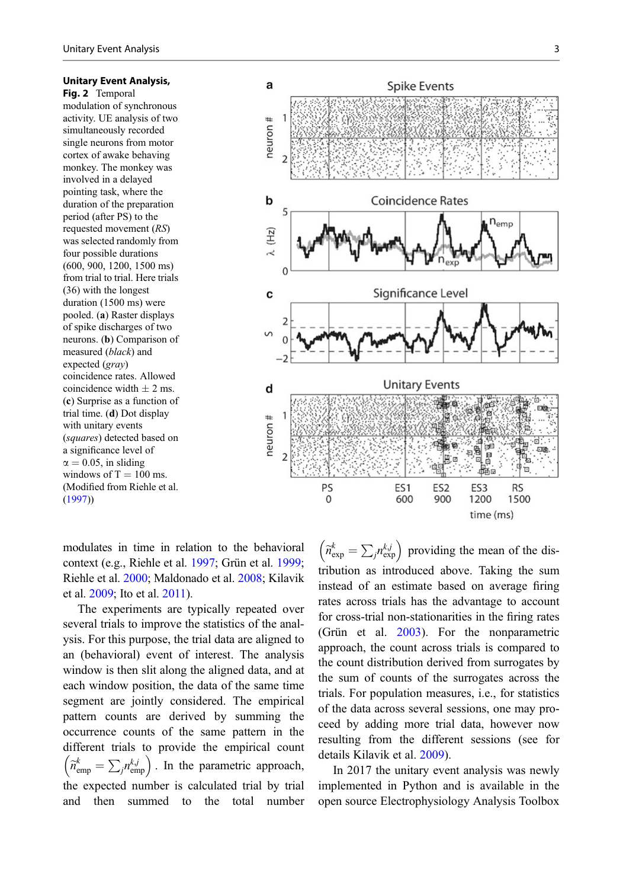#### <span id="page-2-0"></span>Unitary Event Analysis,

Fig. 2 Temporal modulation of synchronous activity. UE analysis of two simultaneously recorded single neurons from motor cortex of awake behaving monkey. The monkey was involved in a delayed pointing task, where the duration of the preparation period (after PS) to the requested movement (RS) was selected randomly from four possible durations (600, 900, 1200, 1500 ms) from trial to trial. Here trials (36) with the longest duration (1500 ms) were pooled. (a) Raster displays of spike discharges of two neurons. (b) Comparison of measured (black) and expected (gray) coincidence rates. Allowed coincidence width  $\pm$  2 ms. (c) Surprise as a function of trial time. (d) Dot display with unitary events (squares) detected based on a significance level of  $\alpha = 0.05$ , in sliding windows of  $T = 100$  ms. (Modified from Riehle et al. ([1997\)](#page-3-0))



modulates in time in relation to the behavioral context (e.g., Riehle et al. [1997](#page-3-0); Grün et al. [1999;](#page-3-0) Riehle et al. [2000;](#page-3-0) Maldonado et al. [2008](#page-3-0); Kilavik et al. [2009;](#page-3-0) Ito et al. [2011\)](#page-3-0).

The experiments are typically repeated over several trials to improve the statistics of the analysis. For this purpose, the trial data are aligned to an (behavioral) event of interest. The analysis window is then slit along the aligned data, and at each window position, the data of the same time segment are jointly considered. The empirical pattern counts are derived by summing the occurrence counts of the same pattern in the different trials to provide the empirical count egi<br>att<br>iff<br> $\widetilde{n}_{e}^{k}$ each window position, the data of the same time<br>segment are jointly considered. The empirical<br>pattern counts are derived by summing the<br>occurrence counts of the same pattern in the<br>different trials to provide the empirica si<br>nt<br>a<br>nts the expected number is calculated trial by trial and then summed to the total number

 providing the mean of the distribution as introduced above. Taking the sum instead of an estimate based on average firing rates across trials has the advantage to account for cross-trial non-stationarities in the firing rates (Grün et al. [2003\)](#page-3-0). For the nonparametric approach, the count across trials is compared to the count distribution derived from surrogates by the sum of counts of the surrogates across the trials. For population measures, i.e., for statistics of the data across several sessions, one may proceed by adding more trial data, however now resulting from the different sessions (see for details Kilavik et al. [2009](#page-3-0)).

In 2017 the unitary event analysis was newly implemented in Python and is available in the open source Electrophysiology Analysis Toolbox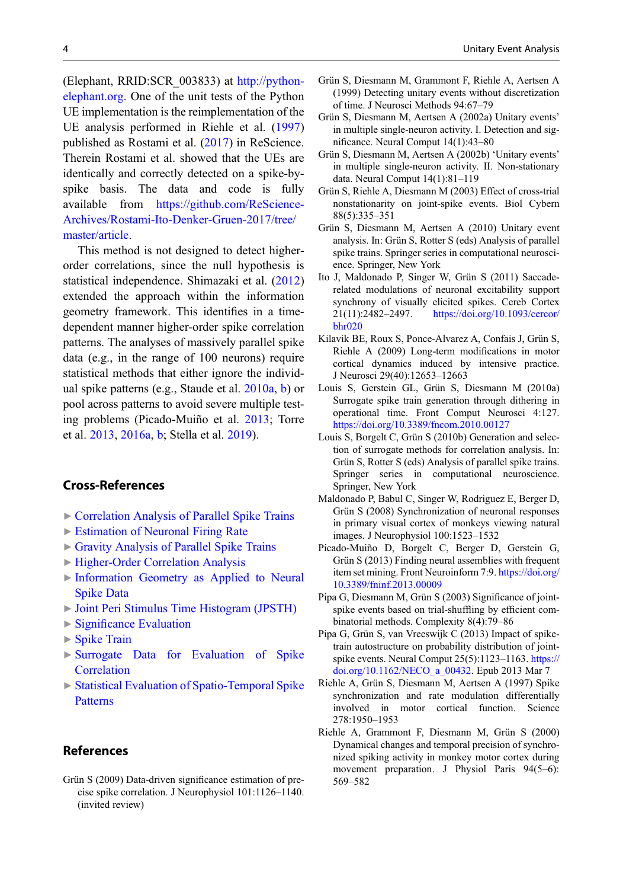<span id="page-3-0"></span>(Elephant, RRID:SCR\_003833) at [http://python](http://python-elephant.org)[elephant.org](http://python-elephant.org). One of the unit tests of the Python UE implementation is the reimplementation of the UE analysis performed in Riehle et al. (1997) published as Rostami et al. ([2017\)](#page-4-0) in ReScience. Therein Rostami et al. showed that the UEs are identically and correctly detected on a spike-byspike basis. The data and code is fully available from [https://github.com/ReScience-](https://github.com/ReScience-Archives/Rostami-Ito-Denker-Gruen-2017/tree/master/article)[Archives/Rostami-Ito-Denker-Gruen-2017/tree/](https://github.com/ReScience-Archives/Rostami-Ito-Denker-Gruen-2017/tree/master/article) [master/article](https://github.com/ReScience-Archives/Rostami-Ito-Denker-Gruen-2017/tree/master/article).

This method is not designed to detect higherorder correlations, since the null hypothesis is statistical independence. Shimazaki et al. [\(2012](#page-4-0)) extended the approach within the information geometry framework. This identifies in a timedependent manner higher-order spike correlation patterns. The analyses of massively parallel spike data (e.g., in the range of 100 neurons) require statistical methods that either ignore the individual spike patterns (e.g., Staude et al. [2010a](#page-4-0), [b](#page-4-0)) or pool across patterns to avoid severe multiple testing problems (Picado-Muiño et al. 2013; Torre et al. [2013,](#page-4-0) [2016a](#page-4-0), [b](#page-4-0); Stella et al. [2019](#page-4-0)).

## Cross-References

- **Exercise 2** [Correlation Analysis of Parallel Spike Trains](http://link.springer.com/search?facet-eisbn=978-1-4614-7320-6&facet-content-type=ReferenceWorkEntry&query=Correlation Analysis of Parallel Spike Trains)
- ▶ [Estimation of Neuronal Firing Rate](http://link.springer.com/search?facet-eisbn=978-1-4614-7320-6&facet-content-type=ReferenceWorkEntry&query=Estimation of Neuronal Firing Rate)
- ▶ [Gravity Analysis of Parallel Spike Trains](http://link.springer.com/search?facet-eisbn=978-1-4614-7320-6&facet-content-type=ReferenceWorkEntry&query=Gravity Analysis of Parallel Spike Trains)
- ▶ [Higher-Order Correlation Analysis](http://link.springer.com/search?facet-eisbn=978-1-4614-7320-6&facet-content-type=ReferenceWorkEntry&query=Higher-Order Correlation Analysis)
- ▶ [Information Geometry as Applied to Neural](http://link.springer.com/search?facet-eisbn=978-1-4614-7320-6&facet-content-type=ReferenceWorkEntry&query=Information Geometry as Applied to Neural Spike Data) [Spike Data](http://link.springer.com/search?facet-eisbn=978-1-4614-7320-6&facet-content-type=ReferenceWorkEntry&query=Information Geometry as Applied to Neural Spike Data)
- ▶ [Joint Peri Stimulus Time Histogram \(JPSTH\)](http://link.springer.com/search?facet-eisbn=978-1-4614-7320-6&facet-content-type=ReferenceWorkEntry&query=Joint Peri Stimulus Time Histogram (JPSTH))
- ▶ Signifi[cance Evaluation](http://link.springer.com/search?facet-eisbn=978-1-4614-7320-6&facet-content-type=ReferenceWorkEntry&query=Significance Evaluation)
- $\triangleright$  [Spike Train](http://link.springer.com/search?facet-eisbn=978-1-4614-7320-6&facet-content-type=ReferenceWorkEntry&query=Spike Train)
- ▶ [Surrogate Data for Evaluation of Spike](http://link.springer.com/search?facet-eisbn=978-1-4614-7320-6&facet-content-type=ReferenceWorkEntry&query=Surrogate Data for Evaluation of Spike Correlation) **[Correlation](http://link.springer.com/search?facet-eisbn=978-1-4614-7320-6&facet-content-type=ReferenceWorkEntry&query=Surrogate Data for Evaluation of Spike Correlation)**
- ▶ [Statistical Evaluation of Spatio-Temporal Spike](http://link.springer.com/search?facet-eisbn=978-1-4614-7320-6&facet-content-type=ReferenceWorkEntry&query=Statistical Evaluation of Spatio-Temporal Spike Patterns) [Patterns](http://link.springer.com/search?facet-eisbn=978-1-4614-7320-6&facet-content-type=ReferenceWorkEntry&query=Statistical Evaluation of Spatio-Temporal Spike Patterns)

### References

Grün S (2009) Data-driven significance estimation of precise spike correlation. J Neurophysiol 101:1126–1140. (invited review)

- Grün S, Diesmann M, Grammont F, Riehle A, Aertsen A (1999) Detecting unitary events without discretization of time. J Neurosci Methods 94:67–79
- Grün S, Diesmann M, Aertsen A (2002a) Unitary events' in multiple single-neuron activity. I. Detection and significance. Neural Comput 14(1):43–80
- Grün S, Diesmann M, Aertsen A (2002b) 'Unitary events' in multiple single-neuron activity. II. Non-stationary data. Neural Comput 14(1):81–119
- Grün S, Riehle A, Diesmann M (2003) Effect of cross-trial nonstationarity on joint-spike events. Biol Cybern 88(5):335–351
- Grün S, Diesmann M, Aertsen A (2010) Unitary event analysis. In: Grün S, Rotter S (eds) Analysis of parallel spike trains. Springer series in computational neuroscience. Springer, New York
- Ito J, Maldonado P, Singer W, Grün S (2011) Saccaderelated modulations of neuronal excitability support synchrony of visually elicited spikes. Cereb Cortex 21(11):2482–2497. [https://doi.org/10.1093/cercor/](https://doi.org/10.1093/cercor/bhr020) [bhr020](https://doi.org/10.1093/cercor/bhr020)
- Kilavik BE, Roux S, Ponce-Alvarez A, Confais J, Grün S, Riehle A (2009) Long-term modifications in motor cortical dynamics induced by intensive practice. J Neurosci 29(40):12653–12663
- Louis S, Gerstein GL, Grün S, Diesmann M (2010a) Surrogate spike train generation through dithering in operational time. Front Comput Neurosci 4:127. <https://doi.org/10.3389/fncom.2010.00127>
- Louis S, Borgelt C, Grün S (2010b) Generation and selection of surrogate methods for correlation analysis. In: Grün S, Rotter S (eds) Analysis of parallel spike trains. Springer series in computational neuroscience. Springer, New York
- Maldonado P, Babul C, Singer W, Rodriguez E, Berger D, Grün S (2008) Synchronization of neuronal responses in primary visual cortex of monkeys viewing natural images. J Neurophysiol 100:1523–1532
- Picado-Muiño D, Borgelt C, Berger D, Gerstein G, Grün S (2013) Finding neural assemblies with frequent item set mining. Front Neuroinform 7:9. [https://doi.org/](https://doi.org/10.3389/fninf.2013.00009) [10.3389/fninf.2013.00009](https://doi.org/10.3389/fninf.2013.00009)
- Pipa G, Diesmann M, Grün S (2003) Significance of jointspike events based on trial-shuffling by efficient combinatorial methods. Complexity 8(4):79–86
- Pipa G, Grün S, van Vreeswijk C (2013) Impact of spiketrain autostructure on probability distribution of jointspike events. Neural Comput 25(5):1123–1163. [https://](https://doi.org/10.1162/NECO_a_00432) [doi.org/10.1162/NECO\\_a\\_00432](https://doi.org/10.1162/NECO_a_00432). Epub 2013 Mar 7
- Riehle A, Grün S, Diesmann M, Aertsen A (1997) Spike synchronization and rate modulation differentially involved in motor cortical function. Science 278:1950–1953
- Riehle A, Grammont F, Diesmann M, Grün S (2000) Dynamical changes and temporal precision of synchronized spiking activity in monkey motor cortex during movement preparation. J Physiol Paris 94(5–6): 569–582